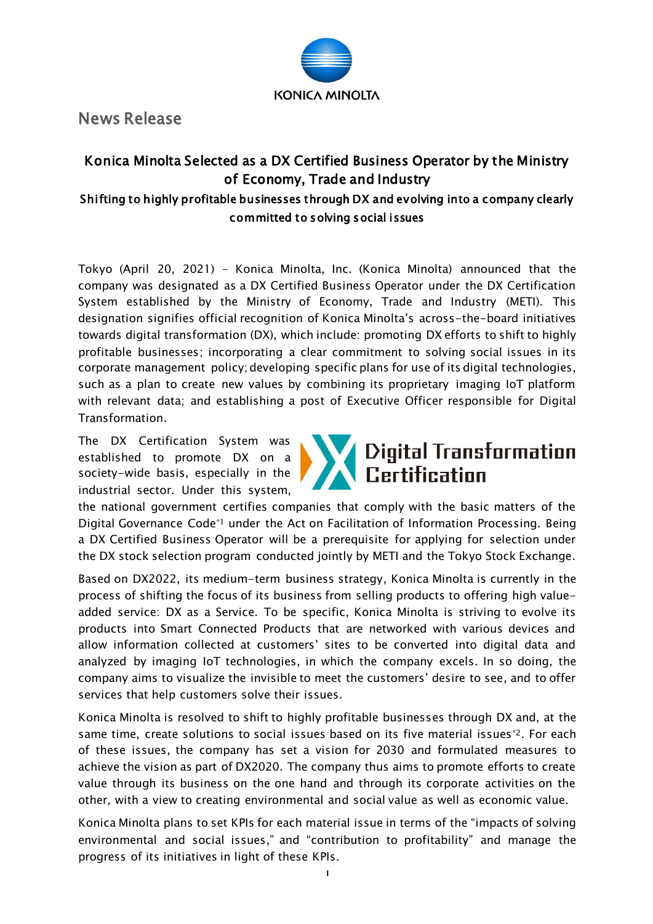

News Release

## Konica Minolta Selected as a DX Certified Business Operator by the Ministry of Economy, Trade and Industry Shifting to highly profitable businesses through DX and evolving into a company clearly committed to solving social issues

Tokyo (April 20, 2021) – Konica Minolta, Inc. (Konica Minolta) announced that the company was designated as a DX Certified Business Operator under the DX Certification System established by the Ministry of Economy, Trade and Industry (METI). This designation signifies official recognition of Konica Minolta's across-the-board initiatives towards digital transformation (DX), which include: promoting DX efforts to shift to highly profitable businesses; incorporating a clear commitment to solving social issues in its corporate management policy; developing specific plans for use of its digital technologies, such as a plan to create new values by combining its proprietary imaging IoT platform with relevant data; and establishing a post of Executive Officer responsible for Digital Transformation.

The DX Certification System was established to promote DX on a society-wide basis, especially in the industrial sector. Under this system,



the national government certifies companies that comply with the basic matters of the Digital Governance Code\*1 under the Act on Facilitation of Information Processing. Being a DX Certified Business Operator will be a prerequisite for applying for selection under the DX stock selection program conducted jointly by METI and the Tokyo Stock Exchange.

Based on DX2022, its medium-term business strategy, Konica Minolta is currently in the process of shifting the focus of its business from selling products to offering high valueadded service: DX as a Service. To be specific, Konica Minolta is striving to evolve its products into Smart Connected Products that are networked with various devices and allow information collected at customers' sites to be converted into digital data and analyzed by imaging IoT technologies, in which the company excels. In so doing, the company aims to visualize the invisible to meet the customers' desire to see, and to offer services that help customers solve their issues.

Konica Minolta is resolved to shift to highly profitable businesses through DX and, at the same time, create solutions to social issues based on its five material issues\*2. For each of these issues, the company has set a vision for 2030 and formulated measures to achieve the vision as part of DX2020. The company thus aims to promote efforts to create value through its business on the one hand and through its corporate activities on the other, with a view to creating environmental and social value as well as economic value.

Konica Minolta plans to set KPIs for each material issue in terms of the "impacts of solving environmental and social issues," and "contribution to profitability" and manage the progress of its initiatives in light of these KPIs.